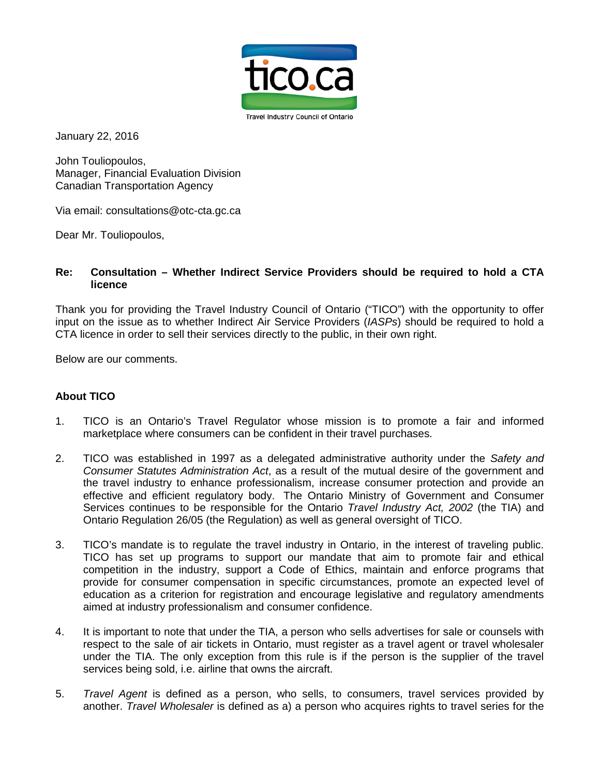

January 22, 2016

John Touliopoulos, Manager, Financial Evaluation Division Canadian Transportation Agency

Via email: consultations@otc-cta.gc.ca

Dear Mr. Touliopoulos,

## **Re: Consultation – Whether Indirect Service Providers should be required to hold a CTA licence**

Thank you for providing the Travel Industry Council of Ontario ("TICO") with the opportunity to offer input on the issue as to whether Indirect Air Service Providers (*IASPs*) should be required to hold a CTA licence in order to sell their services directly to the public, in their own right.

Below are our comments.

## **About TICO**

- 1. TICO is an Ontario's Travel Regulator whose mission is to promote a fair and informed marketplace where consumers can be confident in their travel purchases.
- 2. TICO was established in 1997 as a delegated administrative authority under the *Safety and Consumer Statutes Administration Act*, as a result of the mutual desire of the government and the travel industry to enhance professionalism, increase consumer protection and provide an effective and efficient regulatory body. The Ontario Ministry of Government and Consumer Services continues to be responsible for the Ontario *Travel Industry Act, 2002* (the TIA) and Ontario Regulation 26/05 (the Regulation) as well as general oversight of TICO.
- 3. TICO's mandate is to regulate the travel industry in Ontario, in the interest of traveling public. TICO has set up programs to support our mandate that aim to promote fair and ethical competition in the industry, support a Code of Ethics, maintain and enforce programs that provide for consumer compensation in specific circumstances, promote an expected level of education as a criterion for registration and encourage legislative and regulatory amendments aimed at industry professionalism and consumer confidence.
- 4. It is important to note that under the TIA, a person who sells advertises for sale or counsels with respect to the sale of air tickets in Ontario, must register as a travel agent or travel wholesaler under the TIA. The only exception from this rule is if the person is the supplier of the travel services being sold, i.e. airline that owns the aircraft.
- 5. *Travel Agent* is defined as a person, who sells, to consumers, travel services provided by another. *Travel Wholesaler* is defined as a) a person who acquires rights to travel series for the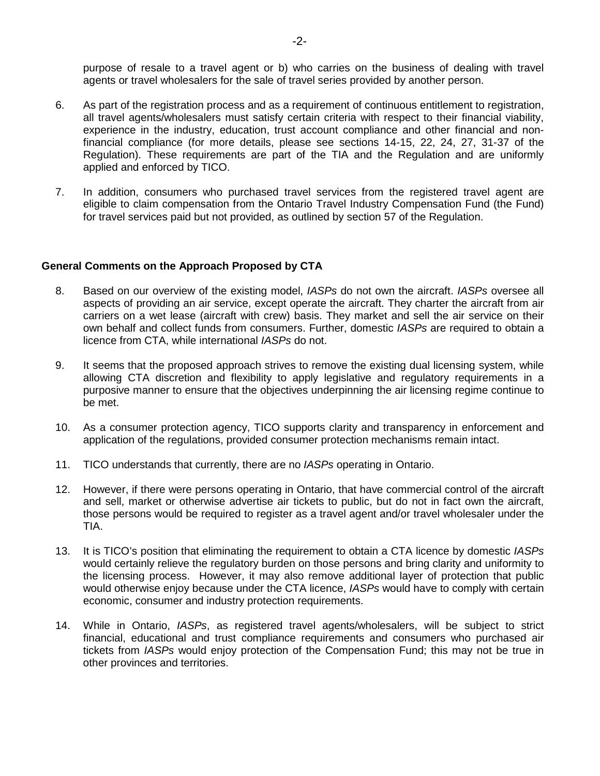purpose of resale to a travel agent or b) who carries on the business of dealing with travel agents or travel wholesalers for the sale of travel series provided by another person.

- 6. As part of the registration process and as a requirement of continuous entitlement to registration, all travel agents/wholesalers must satisfy certain criteria with respect to their financial viability, experience in the industry, education, trust account compliance and other financial and nonfinancial compliance (for more details, please see sections 14-15, 22, 24, 27, 31-37 of the Regulation). These requirements are part of the TIA and the Regulation and are uniformly applied and enforced by TICO.
- 7. In addition, consumers who purchased travel services from the registered travel agent are eligible to claim compensation from the Ontario Travel Industry Compensation Fund (the Fund) for travel services paid but not provided, as outlined by section 57 of the Regulation.

## **General Comments on the Approach Proposed by CTA**

- 8. Based on our overview of the existing model, *IASPs* do not own the aircraft. *IASPs* oversee all aspects of providing an air service, except operate the aircraft. They charter the aircraft from air carriers on a wet lease (aircraft with crew) basis. They market and sell the air service on their own behalf and collect funds from consumers. Further, domestic *IASPs* are required to obtain a licence from CTA, while international *IASPs* do not.
- 9. It seems that the proposed approach strives to remove the existing dual licensing system, while allowing CTA discretion and flexibility to apply legislative and regulatory requirements in a purposive manner to ensure that the objectives underpinning the air licensing regime continue to be met.
- 10. As a consumer protection agency, TICO supports clarity and transparency in enforcement and application of the regulations, provided consumer protection mechanisms remain intact.
- 11. TICO understands that currently, there are no *IASPs* operating in Ontario.
- 12. However, if there were persons operating in Ontario, that have commercial control of the aircraft and sell, market or otherwise advertise air tickets to public, but do not in fact own the aircraft, those persons would be required to register as a travel agent and/or travel wholesaler under the TIA.
- 13. It is TICO's position that eliminating the requirement to obtain a CTA licence by domestic *IASPs* would certainly relieve the regulatory burden on those persons and bring clarity and uniformity to the licensing process. However, it may also remove additional layer of protection that public would otherwise enjoy because under the CTA licence, *IASPs* would have to comply with certain economic, consumer and industry protection requirements.
- 14. While in Ontario, *IASPs*, as registered travel agents/wholesalers, will be subject to strict financial, educational and trust compliance requirements and consumers who purchased air tickets from *IASPs* would enjoy protection of the Compensation Fund; this may not be true in other provinces and territories.